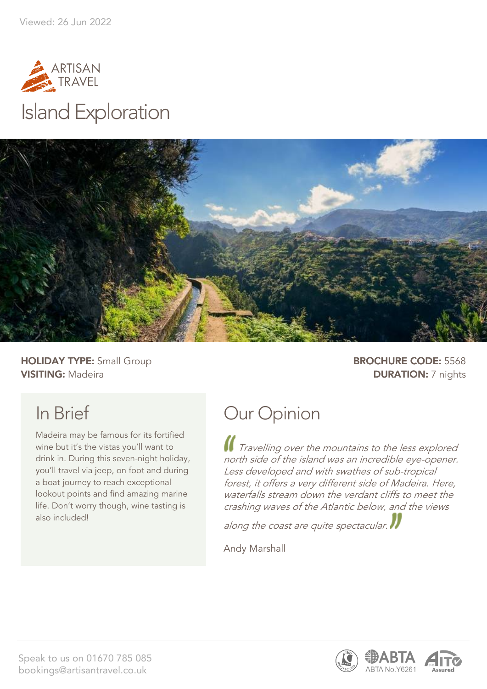



**HOLIDAY TYPE:** Small Group **BROCHURE CODE:** 5568 **VISITING:** Madeira **DURATION:** 7 nights

## In Brief

Madeira may be famous for its fortified wine but it's the vistas you'll want to drink in. During this seven-night holiday, you'll travel via jeep, on foot and during a boat journey to reach exceptional lookout points and find amazing marine life. Don't worry though, wine tasting is also included!

## Our Opinion

Travelling over the mountains to the less explored north side of the island was an incredible eye-opener. Less developed and with swathes of sub-tropical forest, it offers a very different side of Madeira. Here, waterfalls stream down the verdant cliffs to meet the crashing waves of the Atlantic below, and the views

along the coast are quite spectacular.

Andy Marshall



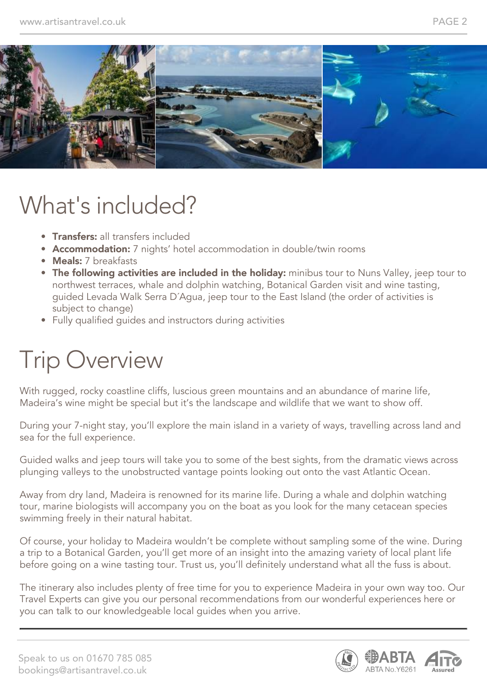

## What's included?

- **Transfers:** all transfers included
- Accommodation: 7 nights' hotel accommodation in double/twin rooms
- **Meals:** 7 breakfasts
- The following activities are included in the holiday: minibus tour to Nuns Valley, jeep tour to northwest terraces, whale and dolphin watching, Botanical Garden visit and wine tasting, guided Levada Walk Serra D´Agua, jeep tour to the East Island (the order of activities is subject to change)
- Fully qualified guides and instructors during activities

## Trip Overview

With rugged, rocky coastline cliffs, luscious green mountains and an abundance of marine life, Madeira's wine might be special but it's the landscape and wildlife that we want to show off.

During your 7-night stay, you'll explore the main island in a variety of ways, travelling across land and sea for the full experience.

Guided walks and jeep tours will take you to some of the best sights, from the dramatic views across plunging valleys to the unobstructed vantage points looking out onto the vast Atlantic Ocean.

Away from dry land, Madeira is renowned for its marine life. During a whale and dolphin watching tour, marine biologists will accompany you on the boat as you look for the many cetacean species swimming freely in their natural habitat.

Of course, your holiday to Madeira wouldn't be complete without sampling some of the wine. During a trip to a Botanical Garden, you'll get more of an insight into the amazing variety of local plant life before going on a wine tasting tour. Trust us, you'll definitely understand what all the fuss is about.

The itinerary also includes plenty of free time for you to experience Madeira in your own way too. Our Travel Experts can give you our personal recommendations from our wonderful experiences here or you can talk to our knowledgeable local guides when you arrive.

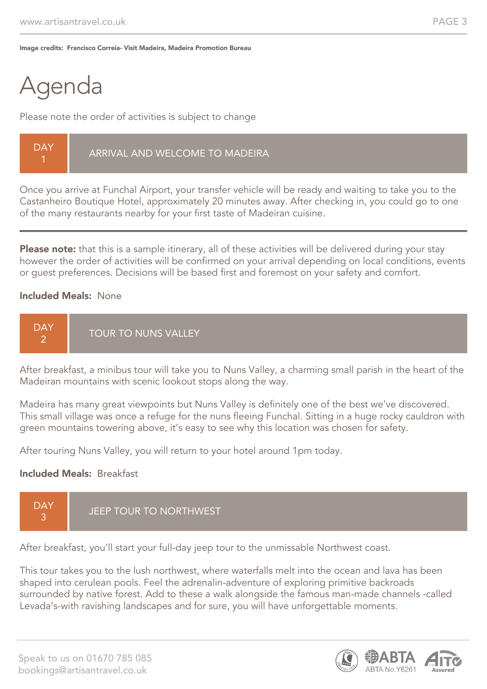Image credits: Francisco Correia- Visit Madeira, Madeira Promotion Bureau

## Agenda

Please note the order of activities is subject to change

Once you arrive at Funchal Airport, your transfer vehicle will be ready and waiting to take you to the Castanheiro Boutique Hotel, approximately 20 minutes away. After checking in, you could go to one of the many restaurants nearby for your first taste of Madeiran cuisine.

Please note: that this is a sample itinerary, all of these activities will be delivered during your stay however the order of activities will be confirmed on your arrival depending on local conditions, events or guest preferences. Decisions will be based first and foremost on your safety and comfort.

#### Included Meals: None



After breakfast, a minibus tour will take you to Nuns Valley, a charming small parish in the heart of the Madeiran mountains with scenic lookout stops along the way.

Madeira has many great viewpoints but Nuns Valley is definitely one of the best we've discovered. This small village was once a refuge for the nuns fleeing Funchal. Sitting in a huge rocky cauldron with green mountains towering above, it's easy to see why this location was chosen for safety.

After touring Nuns Valley, you will return to your hotel around 1pm today.

#### Included Meals: Breakfast



After breakfast, you'll start your full-day jeep tour to the unmissable Northwest coast.

This tour takes you to the lush northwest, where waterfalls melt into the ocean and lava has been shaped into cerulean pools. Feel the adrenalin-adventure of exploring primitive backroads surrounded by native forest. Add to these a walk alongside the famous man-made channels -called Levada's-with ravishing landscapes and for sure, you will have unforgettable moments.

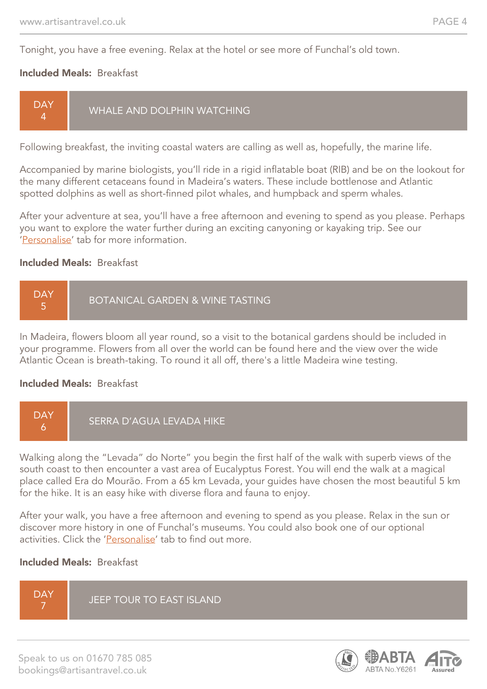Tonight, you have a free evening. Relax at the hotel or see more of Funchal's old town.

#### Included Meals: Breakfast



Following breakfast, the inviting coastal waters are calling as well as, hopefully, the marine life.

Accompanied by marine biologists, you'll ride in a rigid inflatable boat (RIB) and be on the lookout for the many different cetaceans found in Madeira's waters. These include bottlenose and Atlantic spotted dolphins as well as short-finned pilot whales, and humpback and sperm whales.

After your adventure at sea, you'll have a free afternoon and evening to spend as you please. Perhaps you want to explore the water further during an exciting canyoning or kayaking trip. See our 'Personalise' tab for more information.

#### Included Meals: Breakfast



In Madeira, flowers bloom all year round, so a visit to the botanical gardens should be included in your programme. Flowers from all over the world can be found here and the view over the wide Atlantic Ocean is breath-taking. To round it all off, there's a little Madeira wine testing.

#### Included Meals: Breakfast



Walking along the "Levada" do Norte" you begin the first half of the walk with superb views of the south coast to then encounter a vast area of Eucalyptus Forest. You will end the walk at a magical place called Era do Mourão. From a 65 km Levada, your guides have chosen the most beautiful 5 km for the hike. It is an easy hike with diverse flora and fauna to enjoy.

After your walk, you have a free afternoon and evening to spend as you please. Relax in the sun or discover more history in one of Funchal's museums. You could also book one of our optional activities. Click the 'Personalise' tab to find out more.

#### Included Meals: Breakfast

**DAY** 7 JEEP TOUR TO EAST ISLAND

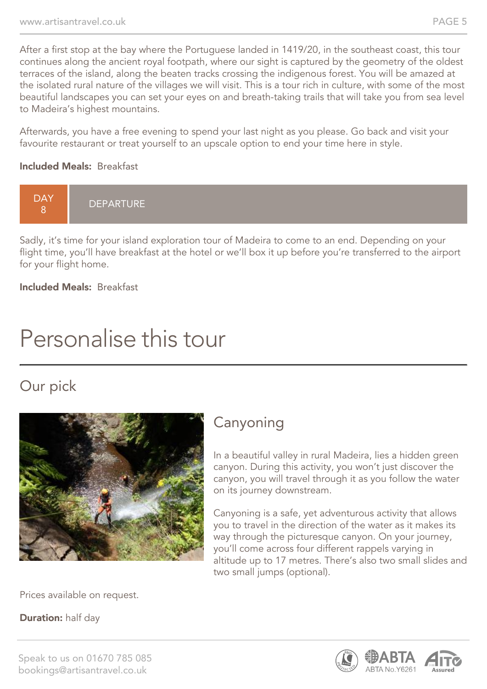After a first stop at the bay where the Portuguese landed in 1419/20, in the southeast coast, this tour continues along the ancient royal footpath, where our sight is captured by the geometry of the oldest terraces of the island, along the beaten tracks crossing the indigenous forest. You will be amazed at the isolated rural nature of the villages we will visit. This is a tour rich in culture, with some of the most beautiful landscapes you can set your eyes on and breath-taking trails that will take you from sea level to Madeira's highest mountains.

Afterwards, you have a free evening to spend your last night as you please. Go back and visit your favourite restaurant or treat yourself to an upscale option to end your time here in style.

#### Included Meals: Breakfast



Sadly, it's time for your island exploration tour of Madeira to come to an end. Depending on your flight time, you'll have breakfast at the hotel or we'll box it up before you're transferred to the airport for your flight home.

Included Meals: Breakfast

## Personalise this tour

## Our pick



### Canyoning

In a beautiful valley in rural Madeira, lies a hidden green canyon. During this activity, you won't just discover the canyon, you will travel through it as you follow the water on its journey downstream.

Canyoning is a safe, yet adventurous activity that allows you to travel in the direction of the water as it makes its way through the picturesque canyon. On your journey, you'll come across four different rappels varying in altitude up to 17 metres. There's also two small slides and two small jumps (optional).

Prices available on request.

**Duration:** half day

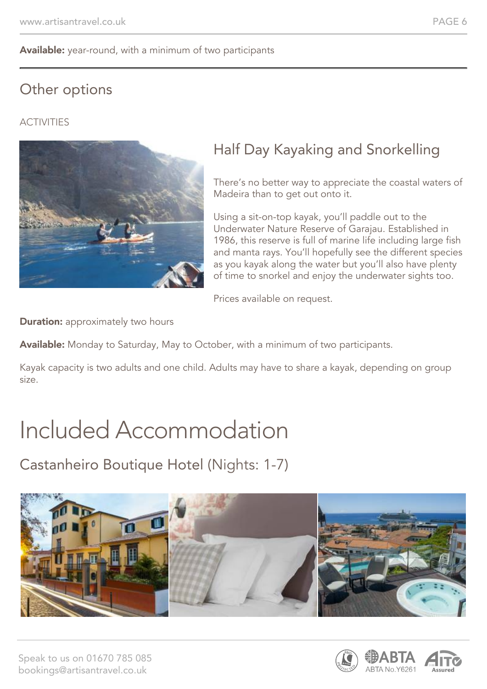#### Available: year-round, with a minimum of two participants

## Other options

### **ACTIVITIES**



## Half Day Kayaking and Snorkelling

There's no better way to appreciate the coastal waters of Madeira than to get out onto it.

Using a sit-on-top kayak, you'll paddle out to the Underwater Nature Reserve of Garajau. Established in 1986, this reserve is full of marine life including large fish and manta rays. You'll hopefully see the different species as you kayak along the water but you'll also have plenty of time to snorkel and enjoy the underwater sights too.

Prices available on request.

**Duration:** approximately two hours

Available: Monday to Saturday, May to October, with a minimum of two participants.

Kayak capacity is two adults and one child. Adults may have to share a kayak, depending on group size.

## Included Accommodation

Castanheiro Boutique Hotel (Nights: 1-7)



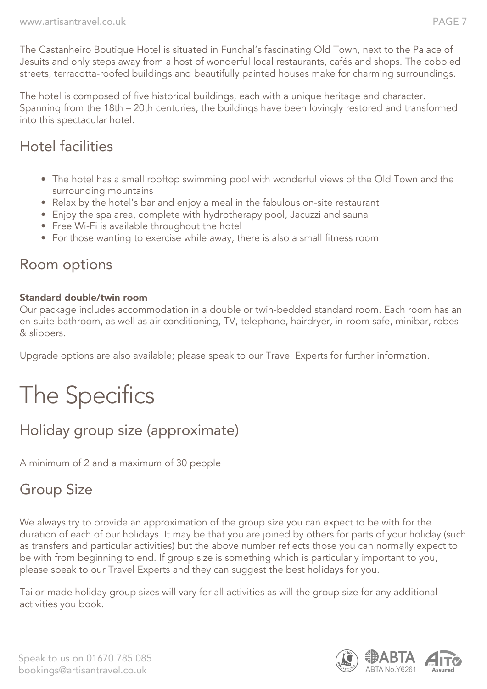The Castanheiro Boutique Hotel is situated in Funchal's fascinating Old Town, next to the Palace of Jesuits and only steps away from a host of wonderful local restaurants, cafés and shops. The cobbled streets, terracotta-roofed buildings and beautifully painted houses make for charming surroundings.

The hotel is composed of five historical buildings, each with a unique heritage and character. Spanning from the 18th – 20th centuries, the buildings have been lovingly restored and transformed into this spectacular hotel.

### Hotel facilities

- The hotel has a small rooftop swimming pool with wonderful views of the Old Town and the surrounding mountains
- Relax by the hotel's bar and enjoy a meal in the fabulous on-site restaurant
- Enjoy the spa area, complete with hydrotherapy pool, Jacuzzi and sauna
- Free Wi-Fi is available throughout the hotel
- For those wanting to exercise while away, there is also a small fitness room

### Room options

#### Standard double/twin room

Our package includes accommodation in a double or twin-bedded standard room. Each room has an en-suite bathroom, as well as air conditioning, TV, telephone, hairdryer, in-room safe, minibar, robes & slippers.

Upgrade options are also available; please speak to our Travel Experts for further information.

# The Specifics

## Holiday group size (approximate)

A minimum of 2 and a maximum of 30 people

## Group Size

We always try to provide an approximation of the group size you can expect to be with for the duration of each of our holidays. It may be that you are joined by others for parts of your holiday (such as transfers and particular activities) but the above number reflects those you can normally expect to be with from beginning to end. If group size is something which is particularly important to you, please speak to our Travel Experts and they can suggest the best holidays for you.

Tailor-made holiday group sizes will vary for all activities as will the group size for any additional activities you book.